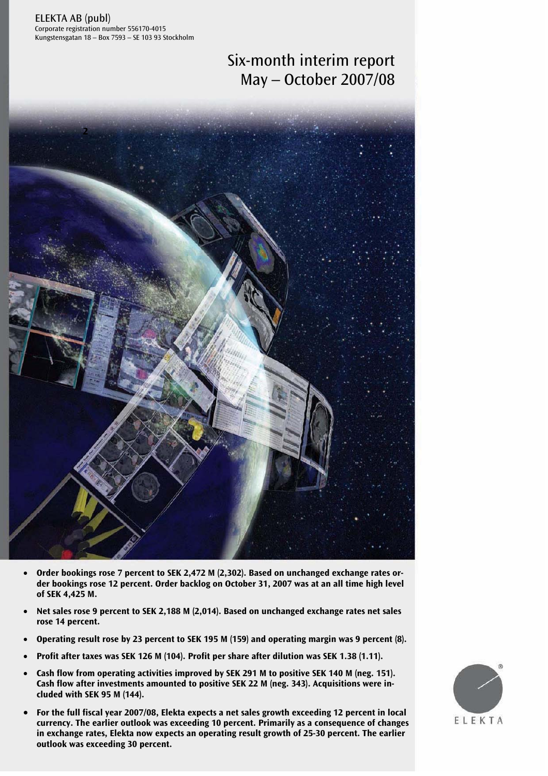ELEKTA AB (publ) Corporate registration number 556170-4015 Kungstensgatan 18 – Box 7593 – SE 103 93 Stockholm

# Six-month interim report May – October 2007/08



- Order bookings rose 7 percent to SEK 2,472 M (2,302). Based on unchanged exchange rates or**der bookings rose 12 percent. Order backlog on October 31, 2007 was at an all time high level of SEK 4,425 M.**
- **Net sales rose 9 percent to SEK 2,188 M (2,014). Based on unchanged exchange rates net sales rose 14 percent.**
- **Operating result rose by 23 percent to SEK 195 M (159) and operating margin was 9 percent (8).**
- **Profit after taxes was SEK 126 M (104). Profit per share after dilution was SEK 1.38 (1.11).**
- **Cash flow from operating activities improved by SEK 291 M to positive SEK 140 M (neg. 151). Cash flow after investments amounted to positive SEK 22 M (neg. 343). Acquisitions were included with SEK 95 M (144).**
- in exchange rates, Elekta now expects an operating result growth of 25-30 percent. The earlier<br>sulled was aveceding 20 novemb • **For the full fiscal year 2007/08, Elekta expects a net sales growth exceeding 12 percent in local currency. The earlier outlook was exceeding 10 percent. Primarily as a consequence of changes outlook was exceeding 30 percent.**

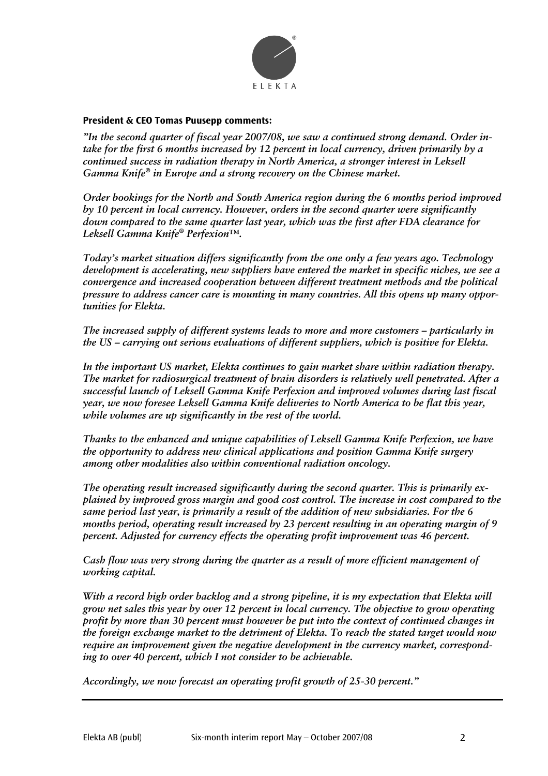

# **President & CEO Tomas Puusepp comments:**

*"In the second quarter of fiscal year 2007/08, we saw a continued strong demand. Order intake for the first 6 months increased by 12 percent in local currency, driven primarily by a continued success in radiation therapy in North America, a stronger interest in Leksell Gamma Knife® in Europe and a strong recovery on the Chinese market.* 

*Order bookings for the North and South America region during the 6 months period improved by 10 percent in local currency. However, orders in the second quarter were significantly down compared to the same quarter last year, which was the first after FDA clearance for Leksell Gamma Knife® Perfexion™.* 

*Today's market situation differs significantly from the one only a few years ago. Technology development is accelerating, new suppliers have entered the market in specific niches, we see a convergence and increased cooperation between different treatment methods and the political pressure to address cancer care is mounting in many countries. All this opens up many opportunities for Elekta.* 

*The increased supply of different systems leads to more and more customers — particularly in the US — carrying out serious evaluations of different suppliers, which is positive for Elekta.* 

*In the important US market, Elekta continues to gain market share within radiation therapy. The market for radiosurgical treatment of brain disorders is relatively well penetrated. After a successful launch of Leksell Gamma Knife Perfexion and improved volumes during last fiscal year, we now foresee Leksell Gamma Knife deliveries to North America to be flat this year, while volumes are up significantly in the rest of the world.* 

*Thanks to the enhanced and unique capabilities of Leksell Gamma Knife Perfexion, we have the opportunity to address new clinical applications and position Gamma Knife surgery among other modalities also within conventional radiation oncology.* 

*The operating result increased significantly during the second quarter. This is primarily explained by improved gross margin and good cost control. The increase in cost compared to the same period last year, is primarily a result of the addition of new subsidiaries. For the 6 months period, operating result increased by 23 percent resulting in an operating margin of 9 percent. Adjusted for currency effects the operating profit improvement was 46 percent.* 

*Cash flow was very strong during the quarter as a result of more efficient management of working capital.* 

*With a record high order backlog and a strong pipeline, it is my expectation that Elekta will grow net sales this year by over 12 percent in local currency. The objective to grow operating profit by more than 30 percent must however be put into the context of continued changes in the foreign exchange market to the detriment of Elekta. To reach the stated target would now require an improvement given the negative development in the currency market, corresponding to over 40 percent, which I not consider to be achievable.* 

*Accordingly, we now forecast an operating profit growth of 25-30 percent."*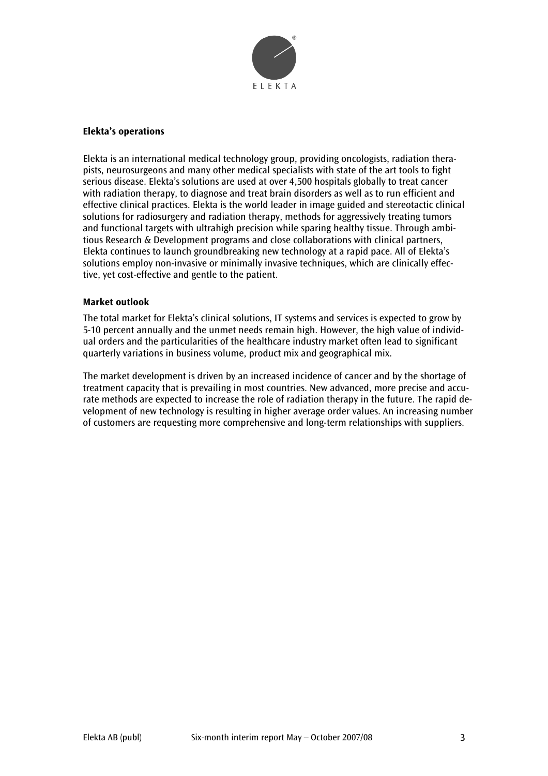

# **Elekta's operations**

Elekta is an international medical technology group, providing oncologists, radiation therapists, neurosurgeons and many other medical specialists with state of the art tools to fight serious disease. Elekta's solutions are used at over 4,500 hospitals globally to treat cancer with radiation therapy, to diagnose and treat brain disorders as well as to run efficient and effective clinical practices. Elekta is the world leader in image guided and stereotactic clinical solutions for radiosurgery and radiation therapy, methods for aggressively treating tumors and functional targets with ultrahigh precision while sparing healthy tissue. Through ambitious Research & Development programs and close collaborations with clinical partners, Elekta continues to launch groundbreaking new technology at a rapid pace. All of Elekta's solutions employ non-invasive or minimally invasive techniques, which are clinically effective, yet cost-effective and gentle to the patient.

#### **Market outlook**

The total market for Elekta's clinical solutions, IT systems and services is expected to grow by 5-10 percent annually and the unmet needs remain high. However, the high value of individual orders and the particularities of the healthcare industry market often lead to significant quarterly variations in business volume, product mix and geographical mix.

The market development is driven by an increased incidence of cancer and by the shortage of treatment capacity that is prevailing in most countries. New advanced, more precise and accurate methods are expected to increase the role of radiation therapy in the future. The rapid development of new technology is resulting in higher average order values. An increasing number of customers are requesting more comprehensive and long-term relationships with suppliers.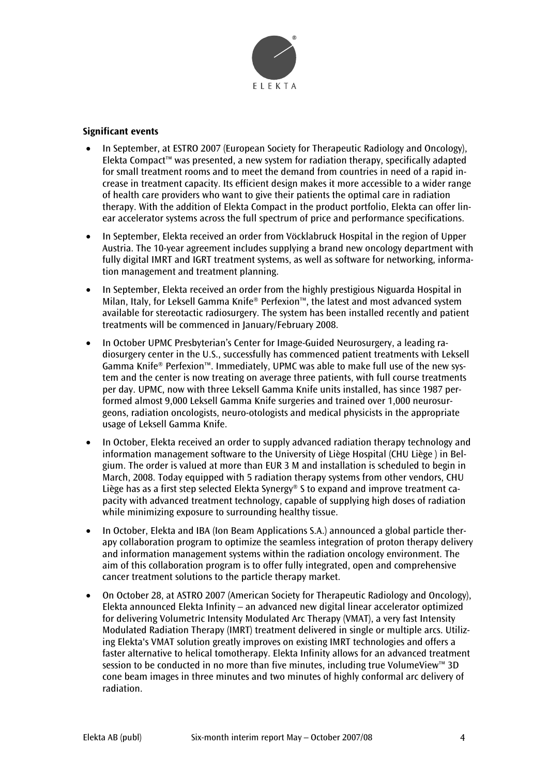

# **Significant events**

- In September, at ESTRO 2007 (European Society for Therapeutic Radiology and Oncology), Elekta Compact™ was presented, a new system for radiation therapy, specifically adapted for small treatment rooms and to meet the demand from countries in need of a rapid increase in treatment capacity. Its efficient design makes it more accessible to a wider range of health care providers who want to give their patients the optimal care in radiation therapy. With the addition of Elekta Compact in the product portfolio, Elekta can offer linear accelerator systems across the full spectrum of price and performance specifications.
- In September, Elekta received an order from Vöcklabruck Hospital in the region of Upper Austria. The 10-year agreement includes supplying a brand new oncology department with fully digital IMRT and IGRT treatment systems, as well as software for networking, information management and treatment planning.
- In September, Elekta received an order from the highly prestigious Niguarda Hospital in Milan, Italy, for Leksell Gamma Knife® Perfexion™, the latest and most advanced system available for stereotactic radiosurgery. The system has been installed recently and patient treatments will be commenced in January/February 2008.
- In October UPMC Presbyterian's Center for Image-Guided Neurosurgery, a leading radiosurgery center in the U.S., successfully has commenced patient treatments with Leksell Gamma Knife® Perfexion™. Immediately, UPMC was able to make full use of the new system and the center is now treating on average three patients, with full course treatments per day. UPMC, now with three Leksell Gamma Knife units installed, has since 1987 performed almost 9,000 Leksell Gamma Knife surgeries and trained over 1,000 neurosurgeons, radiation oncologists, neuro-otologists and medical physicists in the appropriate usage of Leksell Gamma Knife.
- In October, Elekta received an order to supply advanced radiation therapy technology and information management software to the University of Liège Hospital (CHU Liège ) in Belgium. The order is valued at more than EUR 3 M and installation is scheduled to begin in March, 2008. Today equipped with 5 radiation therapy systems from other vendors, CHU Liège has as a first step selected Elekta Synergy® S to expand and improve treatment capacity with advanced treatment technology, capable of supplying high doses of radiation while minimizing exposure to surrounding healthy tissue.
- In October, Elekta and IBA (Ion Beam Applications S.A.) announced a global particle therapy collaboration program to optimize the seamless integration of proton therapy delivery and information management systems within the radiation oncology environment. The aim of this collaboration program is to offer fully integrated, open and comprehensive cancer treatment solutions to the particle therapy market.
- On October 28, at ASTRO 2007 (American Society for Therapeutic Radiology and Oncology), Elekta announced Elekta Infinity – an advanced new digital linear accelerator optimized for delivering Volumetric Intensity Modulated Arc Therapy (VMAT), a very fast Intensity Modulated Radiation Therapy (IMRT) treatment delivered in single or multiple arcs. Utilizing Elekta's VMAT solution greatly improves on existing IMRT technologies and offers a faster alternative to helical tomotherapy. Elekta Infinity allows for an advanced treatment session to be conducted in no more than five minutes, including true VolumeView™ 3D cone beam images in three minutes and two minutes of highly conformal arc delivery of radiation.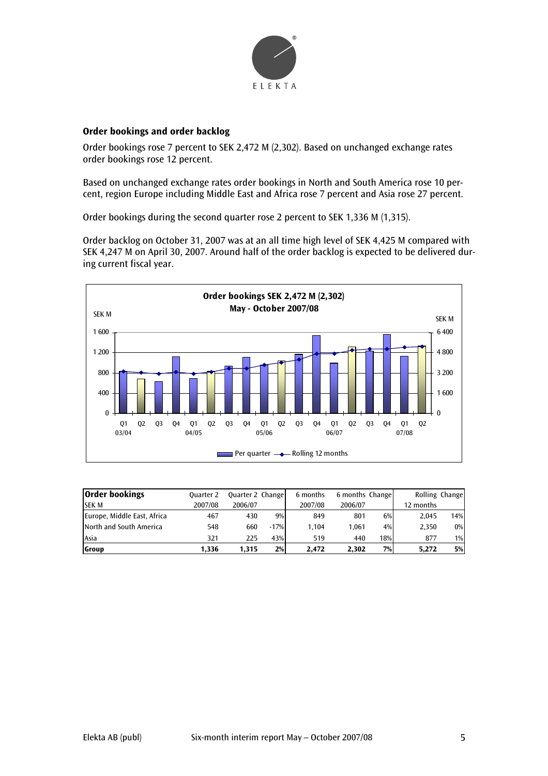

# **Order bookings and order backlog**

Order bookings rose 7 percent to SEK 2,472 M (2,302). Based on unchanged exchange rates order bookings rose 12 percent.

Based on unchanged exchange rates order bookings in North and South America rose 10 percent, region Europe including Middle East and Africa rose 7 percent and Asia rose 27 percent.

Order bookings during the second quarter rose 2 percent to SEK 1,336 M (1,315).

Order backlog on October 31, 2007 was at an all time high level of SEK 4,425 M compared with SEK 4,247 M on April 30, 2007. Around half of the order backlog is expected to be delivered during current fiscal year.



| <b>Order bookings</b>       | <b>Ouarter 2</b> | Quarter 2 Change |        | 6 months | 6 months Change |     |           | Rolling Change |
|-----------------------------|------------------|------------------|--------|----------|-----------------|-----|-----------|----------------|
| <b>SEK M</b>                | 2007/08          | 2006/07          |        | 2007/08  | 2006/07         |     | 12 months |                |
| Europe, Middle East, Africa | 467              | 430              | 9%     | 849      | 801             | 6%  | 2.045     | 14%            |
| North and South America     | 548              | 660              | $-17%$ | 1.104    | 1.061           | 4%  | 2.350     | $0\%$          |
| Asia                        | 321              | 225              | 43%    | 519      | 440             | 18% | 877       | $1\%$          |
| Group                       | 1,336            | 1.315            | 2%     | 2.472    | 2.302           | 7%  | 5.272     | 5%             |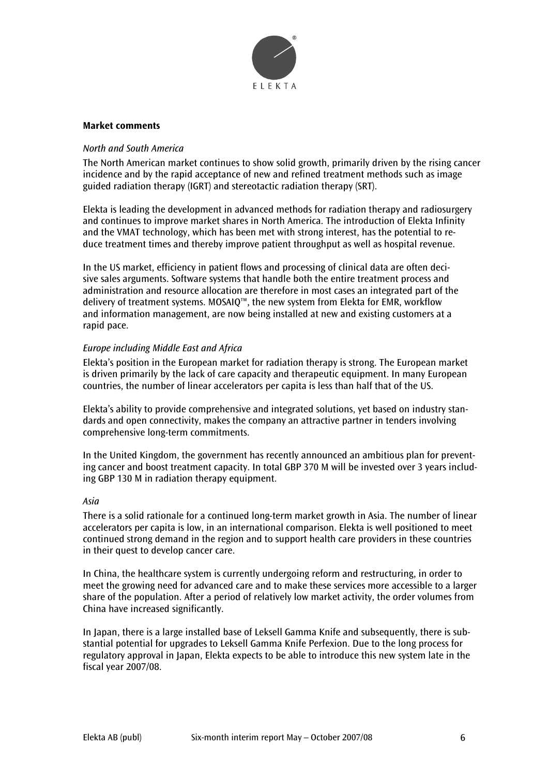

#### **Market comments**

# *North and South America*

The North American market continues to show solid growth, primarily driven by the rising cancer incidence and by the rapid acceptance of new and refined treatment methods such as image guided radiation therapy (IGRT) and stereotactic radiation therapy (SRT).

Elekta is leading the development in advanced methods for radiation therapy and radiosurgery and continues to improve market shares in North America. The introduction of Elekta Infinity and the VMAT technology, which has been met with strong interest, has the potential to reduce treatment times and thereby improve patient throughput as well as hospital revenue.

In the US market, efficiency in patient flows and processing of clinical data are often decisive sales arguments. Software systems that handle both the entire treatment process and administration and resource allocation are therefore in most cases an integrated part of the delivery of treatment systems. MOSAIQ™, the new system from Elekta for EMR, workflow and information management, are now being installed at new and existing customers at a rapid pace.

# *Europe including Middle East and Africa*

Elekta's position in the European market for radiation therapy is strong. The European market is driven primarily by the lack of care capacity and therapeutic equipment. In many European countries, the number of linear accelerators per capita is less than half that of the US.

Elekta's ability to provide comprehensive and integrated solutions, yet based on industry standards and open connectivity, makes the company an attractive partner in tenders involving comprehensive long-term commitments.

In the United Kingdom, the government has recently announced an ambitious plan for preventing cancer and boost treatment capacity. In total GBP 370 M will be invested over 3 years including GBP 130 M in radiation therapy equipment.

#### *Asia*

There is a solid rationale for a continued long-term market growth in Asia. The number of linear accelerators per capita is low, in an international comparison. Elekta is well positioned to meet continued strong demand in the region and to support health care providers in these countries in their quest to develop cancer care.

In China, the healthcare system is currently undergoing reform and restructuring, in order to meet the growing need for advanced care and to make these services more accessible to a larger share of the population. After a period of relatively low market activity, the order volumes from China have increased significantly.

In Japan, there is a large installed base of Leksell Gamma Knife and subsequently, there is substantial potential for upgrades to Leksell Gamma Knife Perfexion. Due to the long process for regulatory approval in Japan, Elekta expects to be able to introduce this new system late in the fiscal year 2007/08.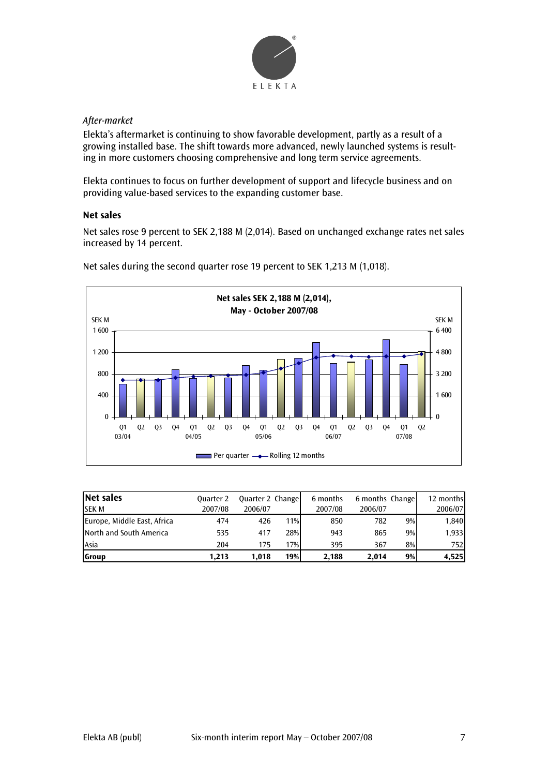

# *After-market*

Elekta's aftermarket is continuing to show favorable development, partly as a result of a growing installed base. The shift towards more advanced, newly launched systems is resulting in more customers choosing comprehensive and long term service agreements.

Elekta continues to focus on further development of support and lifecycle business and on providing value-based services to the expanding customer base.

# **Net sales**

Net sales rose 9 percent to SEK 2,188 M (2,014). Based on unchanged exchange rates net sales increased by 14 percent.



Net sales during the second quarter rose 19 percent to SEK 1,213 M (1,018).

| Net sales                   | <b>Ouarter 2</b> | <b>Quarter 2 Change</b> |     | 6 months | 6 months Change |    | 12 months |
|-----------------------------|------------------|-------------------------|-----|----------|-----------------|----|-----------|
| <b>SEK M</b>                | 2007/08          | 2006/07                 |     | 2007/08  | 2006/07         |    | 2006/07   |
| Europe, Middle East, Africa | 474              | 426                     | 11% | 850      | 782             | 9% | 1,840     |
| North and South America     | 535              | 417                     | 28% | 943      | 865             | 9% | 1,933     |
| Asia                        | 204              | 175                     | 17% | 395      | 367             | 8% | 752       |
| Group                       | 1.213            | 1.018                   | 19% | 2.188    | 2.014           | 9% | 4,525     |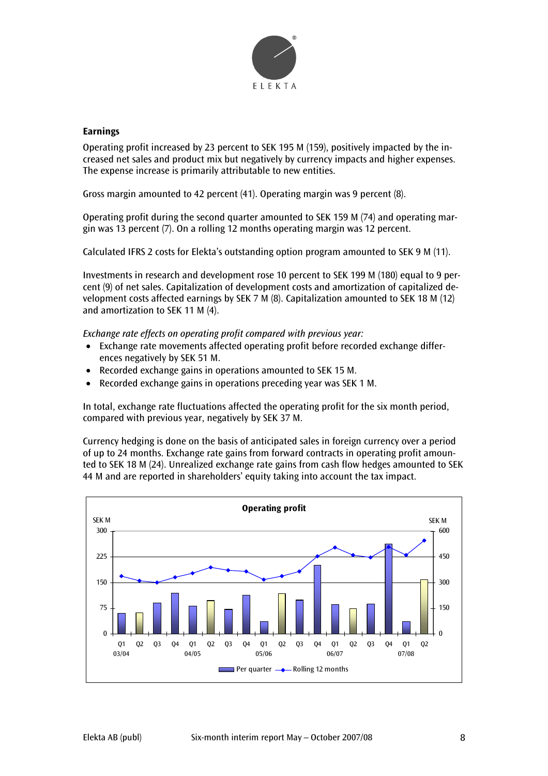

#### **Earnings**

Operating profit increased by 23 percent to SEK 195 M (159), positively impacted by the increased net sales and product mix but negatively by currency impacts and higher expenses. The expense increase is primarily attributable to new entities.

Gross margin amounted to 42 percent (41). Operating margin was 9 percent (8).

Operating profit during the second quarter amounted to SEK 159 M (74) and operating margin was 13 percent (7). On a rolling 12 months operating margin was 12 percent.

Calculated IFRS 2 costs for Elekta's outstanding option program amounted to SEK 9 M (11).

Investments in research and development rose 10 percent to SEK 199 M (180) equal to 9 percent (9) of net sales. Capitalization of development costs and amortization of capitalized development costs affected earnings by SEK 7 M (8). Capitalization amounted to SEK 18 M (12) and amortization to SEK 11 M (4).

*Exchange rate effects on operating profit compared with previous year:* 

- Exchange rate movements affected operating profit before recorded exchange differences negatively by SEK 51 M.
- Recorded exchange gains in operations amounted to SEK 15 M.
- Recorded exchange gains in operations preceding year was SEK 1 M.

In total, exchange rate fluctuations affected the operating profit for the six month period, compared with previous year, negatively by SEK 37 M.

Currency hedging is done on the basis of anticipated sales in foreign currency over a period of up to 24 months. Exchange rate gains from forward contracts in operating profit amounted to SEK 18 M (24). Unrealized exchange rate gains from cash flow hedges amounted to SEK 44 M and are reported in shareholders' equity taking into account the tax impact.

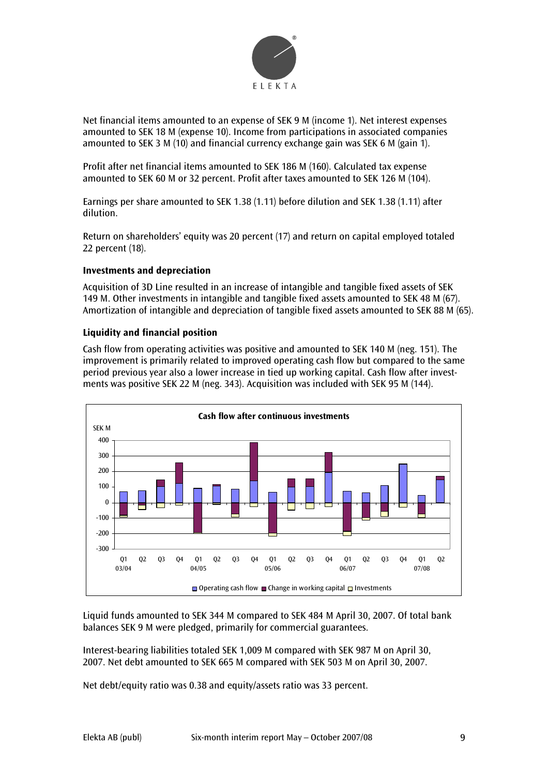

Net financial items amounted to an expense of SEK 9 M (income 1). Net interest expenses amounted to SEK 18 M (expense 10). Income from participations in associated companies amounted to SEK 3 M (10) and financial currency exchange gain was SEK 6 M (gain 1).

Profit after net financial items amounted to SEK 186 M (160). Calculated tax expense amounted to SEK 60 M or 32 percent. Profit after taxes amounted to SEK 126 M (104).

Earnings per share amounted to SEK 1.38 (1.11) before dilution and SEK 1.38 (1.11) after dilution.

Return on shareholders' equity was 20 percent (17) and return on capital employed totaled 22 percent (18).

# **Investments and depreciation**

Acquisition of 3D Line resulted in an increase of intangible and tangible fixed assets of SEK 149 M. Other investments in intangible and tangible fixed assets amounted to SEK 48 M (67). Amortization of intangible and depreciation of tangible fixed assets amounted to SEK 88 M (65).

# **Liquidity and financial position**

Cash flow from operating activities was positive and amounted to SEK 140 M (neg. 151). The improvement is primarily related to improved operating cash flow but compared to the same period previous year also a lower increase in tied up working capital. Cash flow after investments was positive SEK 22 M (neg. 343). Acquisition was included with SEK 95 M (144).



Liquid funds amounted to SEK 344 M compared to SEK 484 M April 30, 2007. Of total bank balances SEK 9 M were pledged, primarily for commercial guarantees.

Interest-bearing liabilities totaled SEK 1,009 M compared with SEK 987 M on April 30, 2007. Net debt amounted to SEK 665 M compared with SEK 503 M on April 30, 2007.

Net debt/equity ratio was 0.38 and equity/assets ratio was 33 percent.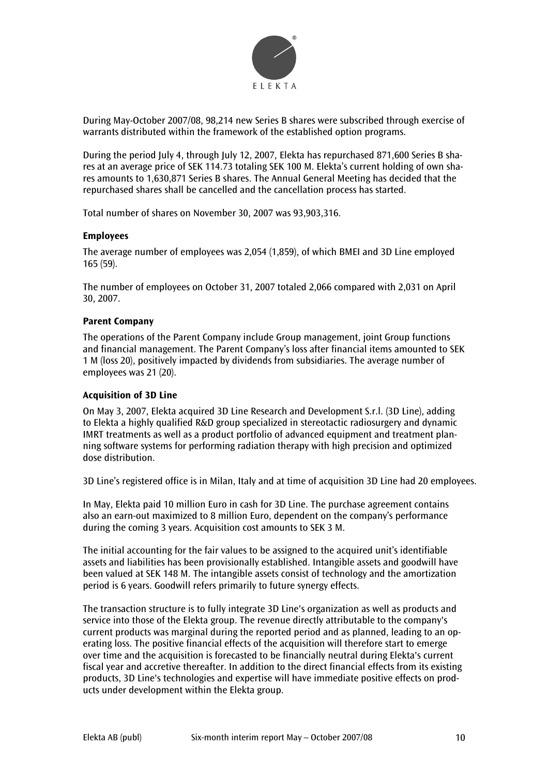

During May-October 2007/08, 98,214 new Series B shares were subscribed through exercise of warrants distributed within the framework of the established option programs.

During the period July 4, through July 12, 2007, Elekta has repurchased 871,600 Series B shares at an average price of SEK 114.73 totaling SEK 100 M. Elekta's current holding of own shares amounts to 1,630,871 Series B shares. The Annual General Meeting has decided that the repurchased shares shall be cancelled and the cancellation process has started.

Total number of shares on November 30, 2007 was 93,903,316.

#### **Employees**

The average number of employees was 2,054 (1,859), of which BMEI and 3D Line employed 165 (59).

The number of employees on October 31, 2007 totaled 2,066 compared with 2,031 on April 30, 2007.

# **Parent Company**

The operations of the Parent Company include Group management, joint Group functions and financial management. The Parent Company's loss after financial items amounted to SEK 1 M (loss 20), positively impacted by dividends from subsidiaries. The average number of employees was 21 (20).

#### **Acquisition of 3D Line**

On May 3, 2007, Elekta acquired 3D Line Research and Development S.r.l. (3D Line), adding to Elekta a highly qualified R&D group specialized in stereotactic radiosurgery and dynamic IMRT treatments as well as a product portfolio of advanced equipment and treatment planning software systems for performing radiation therapy with high precision and optimized dose distribution.

3D Line's registered office is in Milan, Italy and at time of acquisition 3D Line had 20 employees.

In May, Elekta paid 10 million Euro in cash for 3D Line. The purchase agreement contains also an earn-out maximized to 8 million Euro, dependent on the company's performance during the coming 3 years. Acquisition cost amounts to SEK 3 M.

The initial accounting for the fair values to be assigned to the acquired unit's identifiable assets and liabilities has been provisionally established. Intangible assets and goodwill have been valued at SEK 148 M. The intangible assets consist of technology and the amortization period is 6 years. Goodwill refers primarily to future synergy effects.

The transaction structure is to fully integrate 3D Line's organization as well as products and service into those of the Elekta group. The revenue directly attributable to the company's current products was marginal during the reported period and as planned, leading to an operating loss. The positive financial effects of the acquisition will therefore start to emerge over time and the acquisition is forecasted to be financially neutral during Elekta's current fiscal year and accretive thereafter. In addition to the direct financial effects from its existing products, 3D Line's technologies and expertise will have immediate positive effects on products under development within the Elekta group.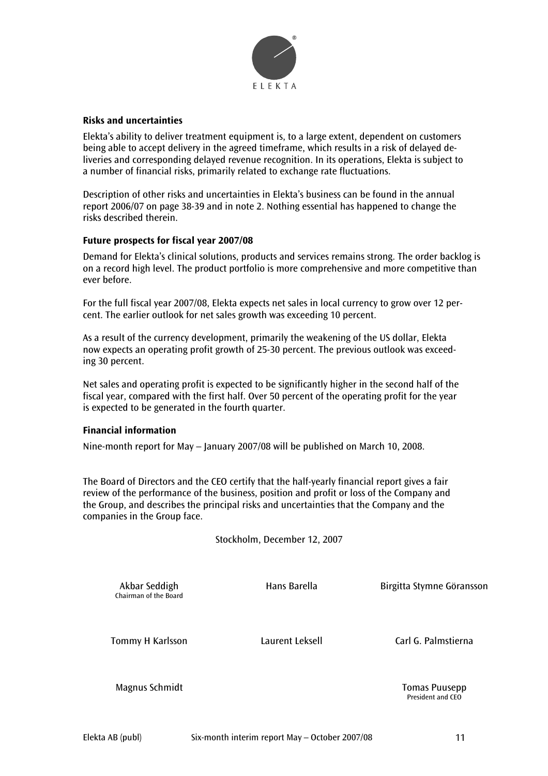

#### **Risks and uncertainties**

Elekta's ability to deliver treatment equipment is, to a large extent, dependent on customers being able to accept delivery in the agreed timeframe, which results in a risk of delayed deliveries and corresponding delayed revenue recognition. In its operations, Elekta is subject to a number of financial risks, primarily related to exchange rate fluctuations.

Description of other risks and uncertainties in Elekta's business can be found in the annual report 2006/07 on page 38-39 and in note 2. Nothing essential has happened to change the risks described therein.

# **Future prospects for fiscal year 2007/08**

Demand for Elekta's clinical solutions, products and services remains strong. The order backlog is on a record high level. The product portfolio is more comprehensive and more competitive than ever before.

For the full fiscal year 2007/08, Elekta expects net sales in local currency to grow over 12 percent. The earlier outlook for net sales growth was exceeding 10 percent.

As a result of the currency development, primarily the weakening of the US dollar, Elekta now expects an operating profit growth of 25-30 percent. The previous outlook was exceeding 30 percent.

Net sales and operating profit is expected to be significantly higher in the second half of the fiscal year, compared with the first half. Over 50 percent of the operating profit for the year is expected to be generated in the fourth quarter.

#### **Financial information**

Nine-month report for May – January 2007/08 will be published on March 10, 2008.

The Board of Directors and the CEO certify that the half-yearly financial report gives a fair review of the performance of the business, position and profit or loss of the Company and the Group, and describes the principal risks and uncertainties that the Company and the companies in the Group face.

Stockholm, December 12, 2007

Chairman of the Board

Akbar Seddigh **Hans Barella** Birgitta Stymne Göransson

Tommy H Karlsson Laurent Leksell Carl G. Palmstierna

Magnus Schmidt Tomas Puusepp

President and CEO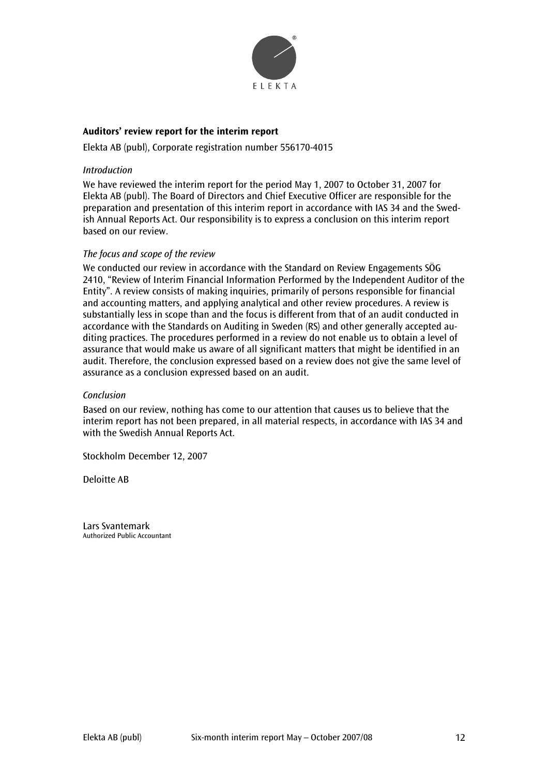

# **Auditors' review report for the interim report**

Elekta AB (publ), Corporate registration number 556170-4015

#### *Introduction*

We have reviewed the interim report for the period May 1, 2007 to October 31, 2007 for Elekta AB (publ). The Board of Directors and Chief Executive Officer are responsible for the preparation and presentation of this interim report in accordance with IAS 34 and the Swedish Annual Reports Act. Our responsibility is to express a conclusion on this interim report based on our review.

#### *The focus and scope of the review*

We conducted our review in accordance with the Standard on Review Engagements SÖG 2410, "Review of Interim Financial Information Performed by the Independent Auditor of the Entity". A review consists of making inquiries, primarily of persons responsible for financial and accounting matters, and applying analytical and other review procedures. A review is substantially less in scope than and the focus is different from that of an audit conducted in accordance with the Standards on Auditing in Sweden (RS) and other generally accepted auditing practices. The procedures performed in a review do not enable us to obtain a level of assurance that would make us aware of all significant matters that might be identified in an audit. Therefore, the conclusion expressed based on a review does not give the same level of assurance as a conclusion expressed based on an audit.

#### *Conclusion*

Based on our review, nothing has come to our attention that causes us to believe that the interim report has not been prepared, in all material respects, in accordance with IAS 34 and with the Swedish Annual Reports Act.

Stockholm December 12, 2007

Deloitte AB

Lars Svantemark Authorized Public Accountant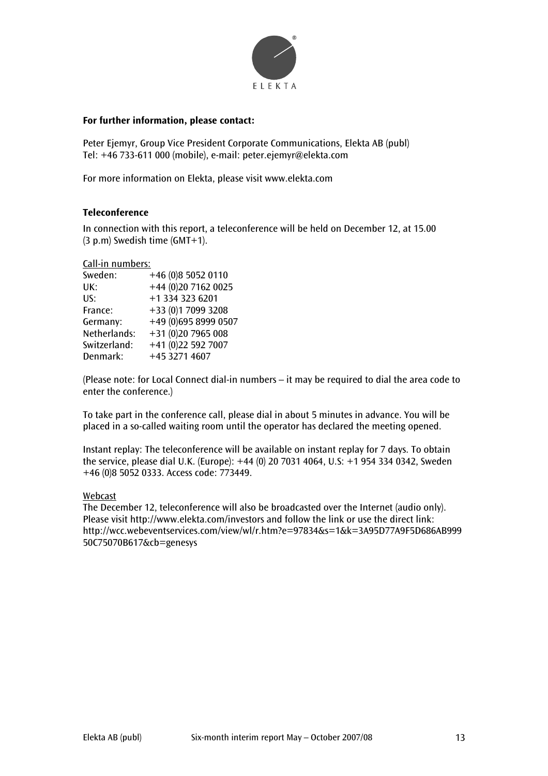

#### **For further information, please contact:**

Peter Ejemyr, Group Vice President Corporate Communications, Elekta AB (publ) Tel: +46 733-611 000 (mobile), e-mail: peter.ejemyr@elekta.com

For more information on Elekta, please visit www.elekta.com

#### **Teleconference**

In connection with this report, a teleconference will be held on December 12, at 15.00 (3 p.m) Swedish time (GMT+1).

#### Call-in numbers:

| Sweden:      | +46 (0)8 5052 0110   |
|--------------|----------------------|
| UK:          | +44 (0)20 7162 0025  |
| US:          | +1 334 323 6201      |
| France:      | +33 (0)1 7099 3208   |
| Germany:     | +49 (0)695 8999 0507 |
| Netherlands: | +31 (0)20 7965 008   |
| Switzerland: | +41 (0)22 592 7007   |
| Denmark:     | +45 3271 4607        |

(Please note: for Local Connect dial-in numbers – it may be required to dial the area code to enter the conference.)

To take part in the conference call, please dial in about 5 minutes in advance. You will be placed in a so-called waiting room until the operator has declared the meeting opened.

Instant replay: The teleconference will be available on instant replay for 7 days. To obtain the service, please dial U.K. (Europe): +44 (0) 20 7031 4064, U.S: +1 954 334 0342, Sweden +46 (0)8 5052 0333. Access code: 773449.

#### Webcast

The December 12, teleconference will also be broadcasted over the Internet (audio only). Please visit http://www.elekta.com/investors and follow the link or use the direct link: http://wcc.webeventservices.com/view/wl/r.htm?e=97834&s=1&k=3A95D77A9F5D686AB999 50C75070B617&cb=genesys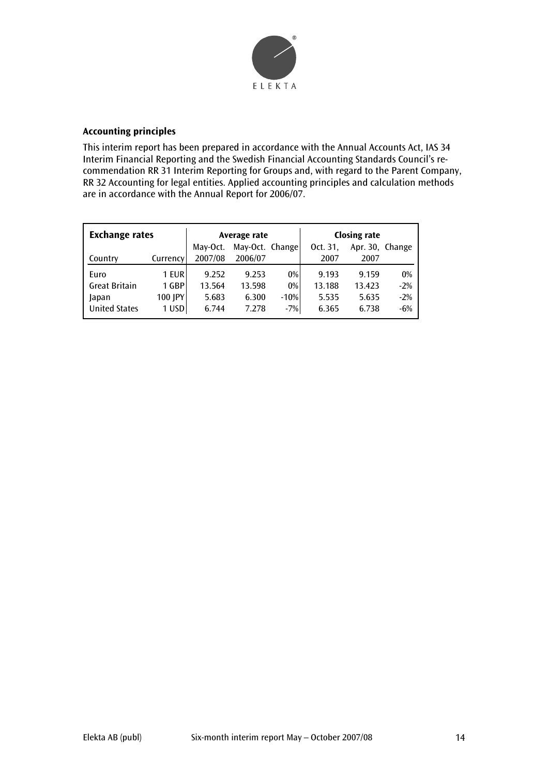

# **Accounting principles**

This interim report has been prepared in accordance with the Annual Accounts Act, IAS 34 Interim Financial Reporting and the Swedish Financial Accounting Standards Council's recommendation RR 31 Interim Reporting for Groups and, with regard to the Parent Company, RR 32 Accounting for legal entities. Applied accounting principles and calculation methods are in accordance with the Annual Report for 2006/07.

| <b>Exchange rates</b> |          | Average rate |                 |        | <b>Closing rate</b> |                 |       |
|-----------------------|----------|--------------|-----------------|--------|---------------------|-----------------|-------|
|                       |          | May-Oct.     | May-Oct. Change |        | Oct. 31.            | Apr. 30, Change |       |
| Country               | Currency | 2007/08      | 2006/07         |        | 2007                | 2007            |       |
| Euro                  | 1 EUR    | 9.252        | 9.253           | 0%     | 9.193               | 9.159           | 0%    |
| <b>Great Britain</b>  | 1 GBP    | 13.564       | 13.598          | $0\%$  | 13.188              | 13.423          | $-2%$ |
| Japan                 | 100 JPY  | 5.683        | 6.300           | $-10%$ | 5.535               | 5.635           | $-2%$ |
| <b>United States</b>  | 1 USD    | 6.744        | 7.278           | $-7%$  | 6.365               | 6.738           | $-6%$ |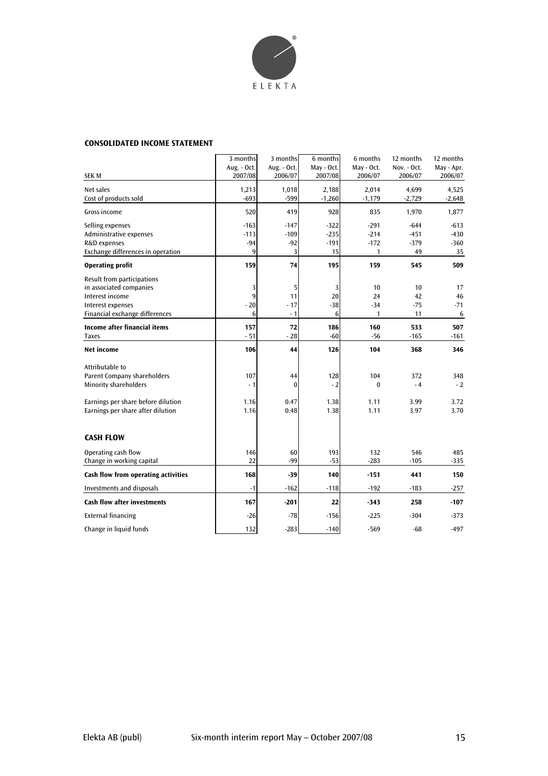

#### **CONSOLIDATED INCOME STATEMENT**

|                                                                                                                                                                  | 3 months<br>Aug. - Oct.           | 3 months<br>Aug. - Oct.        | 6 months<br>May - Oct.           | 6 months<br>May - Oct.            | 12 months<br>Nov. - Oct.         | 12 months<br>May - Apr.          |
|------------------------------------------------------------------------------------------------------------------------------------------------------------------|-----------------------------------|--------------------------------|----------------------------------|-----------------------------------|----------------------------------|----------------------------------|
| <b>SEK M</b>                                                                                                                                                     | 2007/08                           | 2006/07                        | 2007/08                          | 2006/07                           | 2006/07                          | 2006/07                          |
| Net sales<br>Cost of products sold                                                                                                                               | 1,213<br>$-693$                   | 1,018<br>-599                  | 2,188<br>$-1,260$                | 2,014<br>$-1,179$                 | 4.699<br>$-2,729$                | 4,525<br>$-2,648$                |
| Gross income                                                                                                                                                     | 520                               | 419                            | 928                              | 835                               | 1,970                            | 1,877                            |
| Selling expenses<br>Administrative expenses<br>R&D expenses<br>Exchange differences in operation                                                                 | $-163$<br>$-113$<br>$-94$<br>9    | $-147$<br>$-109$<br>$-92$<br>3 | $-322$<br>$-235$<br>$-191$<br>15 | $-291$<br>$-214$<br>$-172$<br>1   | $-644$<br>$-451$<br>$-379$<br>49 | $-613$<br>$-430$<br>$-360$<br>35 |
| <b>Operating profit</b>                                                                                                                                          | 159                               | 74                             | 195                              | 159                               | 545                              | 509                              |
| Result from participations<br>in associated companies<br>Interest income<br>Interest expenses<br>Financial exchange differences                                  | 3<br>$\overline{9}$<br>$-20$<br>6 | 5<br>11<br>$-17$<br>$-1$       | 3<br>20<br>$-38$<br>6            | 10<br>24<br>$-34$<br>$\mathbf{1}$ | 10<br>42<br>$-75$<br>11          | 17<br>46<br>$-71$<br>6           |
| <b>Income after financial items</b><br><b>Taxes</b>                                                                                                              | 157<br>$-51$                      | 72<br>$-28$                    | 186<br>$-60$                     | 160<br>$-56$                      | 533<br>$-165$                    | 507<br>$-161$                    |
| Net income                                                                                                                                                       | 106                               | 44                             | 126                              | 104                               | 368                              | 346                              |
| Attributable to<br><b>Parent Company shareholders</b><br><b>Minority shareholders</b><br>Earnings per share before dilution<br>Earnings per share after dilution | 107<br>$-1$<br>1.16<br>1.16       | 44<br>$\Omega$<br>0.47<br>0.48 | 128<br>$-2$<br>1.38<br>1.38      | 104<br>$\bf{0}$<br>1.11<br>1.11   | 372<br>$-4$<br>3.99<br>3.97      | 348<br>$-2$<br>3.72<br>3.70      |
| <b>CASH FLOW</b>                                                                                                                                                 |                                   |                                |                                  |                                   |                                  |                                  |
| Operating cash flow<br>Change in working capital                                                                                                                 | 146<br>22                         | 60<br>$-99$                    | 193<br>$-53$                     | 132<br>$-283$                     | 546<br>$-105$                    | 485<br>$-335$                    |
| Cash flow from operating activities                                                                                                                              | 168                               | $-39$                          | 140                              | $-151$                            | 441                              | 150                              |
| Investments and disposals                                                                                                                                        | $-1$                              | $-162$                         | $-118$                           | $-192$                            | $-183$                           | $-257$                           |
| <b>Cash flow after investments</b>                                                                                                                               | 167                               | $-201$                         | 22                               | $-343$                            | 258                              | $-107$                           |
| <b>External financing</b>                                                                                                                                        | $-26$                             | $-78$                          | $-156$                           | $-225$                            | $-304$                           | $-373$                           |
| Change in liquid funds                                                                                                                                           | 132                               | $-283$                         | $-140$                           | $-569$                            | $-68$                            | $-497$                           |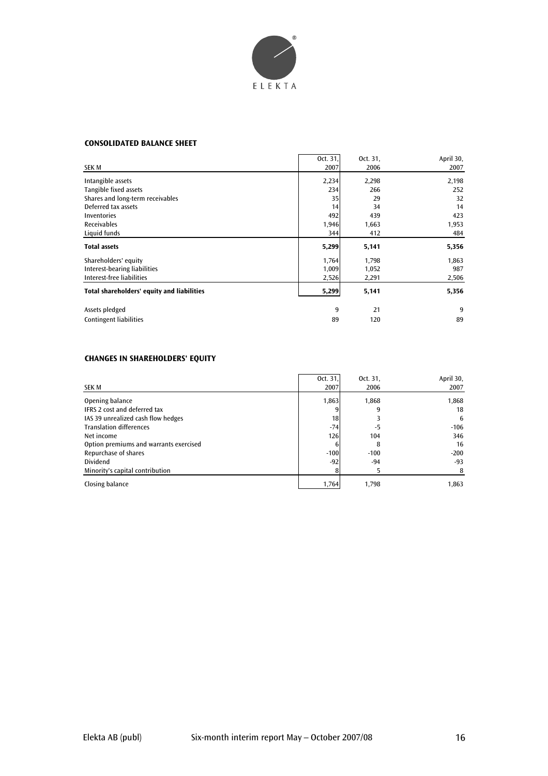

#### **CONSOLIDATED BALANCE SHEET**

|                                            | Oct. 31, | Oct. 31, | April 30, |
|--------------------------------------------|----------|----------|-----------|
| SEK M                                      | 2007     | 2006     | 2007      |
| Intangible assets                          | 2,234    | 2,298    | 2,198     |
| Tangible fixed assets                      | 234      | 266      | 252       |
| Shares and long-term receivables           | 35       | 29       | 32        |
| Deferred tax assets                        | 14       | 34       | 14        |
| Inventories                                | 492      | 439      | 423       |
| Receivables                                | 1,946    | 1,663    | 1,953     |
| Liquid funds                               | 344      | 412      | 484       |
| <b>Total assets</b>                        | 5,299    | 5,141    | 5,356     |
| Shareholders' equity                       | 1,764    | 1,798    | 1,863     |
| Interest-bearing liabilities               | 1,009    | 1,052    | 987       |
| Interest-free liabilities                  | 2,526    | 2,291    | 2,506     |
| Total shareholders' equity and liabilities | 5,299    | 5,141    | 5,356     |
| Assets pledged                             | 9        | 21       | 9         |
| <b>Contingent liabilities</b>              | 89       | 120      | 89        |

# **CHANGES IN SHAREHOLDERS' EQUITY**

| SEK M                                  | Oct. 31,<br>2007 | Oct. 31,<br>2006 | April 30,<br>2007 |
|----------------------------------------|------------------|------------------|-------------------|
| Opening balance                        | 1,863            | 1.868            | 1,868             |
| <b>IFRS 2 cost and deferred tax</b>    |                  | 9                | 18                |
| IAS 39 unrealized cash flow hedges     | 18               |                  | 6                 |
| <b>Translation differences</b>         | $-74$            | -5               | $-106$            |
| Net income                             | 126              | 104              | 346               |
| Option premiums and warrants exercised |                  | 8                | 16                |
| Repurchase of shares                   | $-100$           | $-100$           | $-200$            |
| <b>Dividend</b>                        | $-92$            | $-94$            | $-93$             |
| Minority's capital contribution        |                  |                  | 8                 |
| Closing balance                        | 1,764            | 1.798            | 1,863             |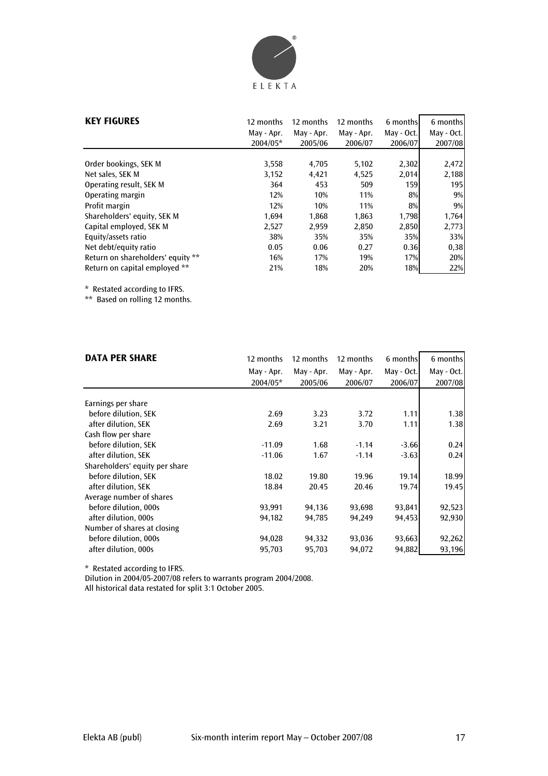

| <b>KEY FIGURES</b>                | 12 months  | 12 months  | 12 months  | 6 months   | 6 months   |
|-----------------------------------|------------|------------|------------|------------|------------|
|                                   | May - Apr. | May - Apr. | May - Apr. | May - Oct. | May - Oct. |
|                                   | 2004/05*   | 2005/06    | 2006/07    | 2006/07    | 2007/08    |
| Order bookings, SEK M             | 3,558      | 4,705      | 5,102      | 2,302      | 2,472      |
| Net sales, SEK M                  | 3,152      | 4,421      | 4,525      | 2,014      | 2,188      |
| Operating result, SEK M           | 364        | 453        | 509        | 159        | 195        |
| Operating margin                  | 12%        | 10%        | 11%        | $8\%$      | 9%         |
| Profit margin                     | 12%        | 10%        | 11%        | $8\%$      | 9%         |
| Shareholders' equity, SEK M       | 1,694      | 1,868      | 1,863      | 1,798      | 1,764      |
| Capital employed, SEK M           | 2,527      | 2,959      | 2,850      | 2,850      | 2,773      |
| Equity/assets ratio               | 38%        | 35%        | 35%        | 35%        | 33%        |
| Net debt/equity ratio             | 0.05       | 0.06       | 0.27       | 0.36       | 0,38       |
| Return on shareholders' equity ** | 16%        | 17%        | 19%        | 17%        | 20%        |
| Return on capital employed **     | 21%        | 18%        | 20%        | 18%        | 22%        |

\* Restated according to IFRS.

\*\* Based on rolling 12 months.

| <b>DATA PER SHARE</b>          | 12 months  | 12 months  | 12 months  | 6 months   | 6 months   |
|--------------------------------|------------|------------|------------|------------|------------|
|                                | May - Apr. | May - Apr. | May - Apr. | May - Oct. | May - Oct. |
|                                | 2004/05*   | 2005/06    | 2006/07    | 2006/07    | 2007/08    |
|                                |            |            |            |            |            |
| Earnings per share             |            |            |            |            |            |
| before dilution, SEK           | 2.69       | 3.23       | 3.72       | 1.11       | 1.38       |
| after dilution, SEK            | 2.69       | 3.21       | 3.70       | 1.11       | 1.38       |
| Cash flow per share            |            |            |            |            |            |
| before dilution, SEK           | $-11.09$   | 1.68       | $-1.14$    | $-3.66$    | 0.24       |
| after dilution, SEK            | $-11.06$   | 1.67       | $-1.14$    | $-3.63$    | 0.24       |
| Shareholders' equity per share |            |            |            |            |            |
| before dilution, SEK           | 18.02      | 19.80      | 19.96      | 19.14      | 18.99      |
| after dilution, SEK            | 18.84      | 20.45      | 20.46      | 19.74      | 19.45      |
| Average number of shares       |            |            |            |            |            |
| before dilution, 000s          | 93,991     | 94,136     | 93,698     | 93,841     | 92,523     |
| after dilution, 000s           | 94,182     | 94,785     | 94,249     | 94,453     | 92,930     |
| Number of shares at closing    |            |            |            |            |            |
| before dilution, 000s          | 94,028     | 94,332     | 93,036     | 93,663     | 92,262     |
| after dilution, 000s           | 95,703     | 95,703     | 94,072     | 94,882     | 93,196     |

\* Restated according to IFRS.

Dilution in 2004/05-2007/08 refers to warrants program 2004/2008.

All historical data restated for split 3:1 October 2005.